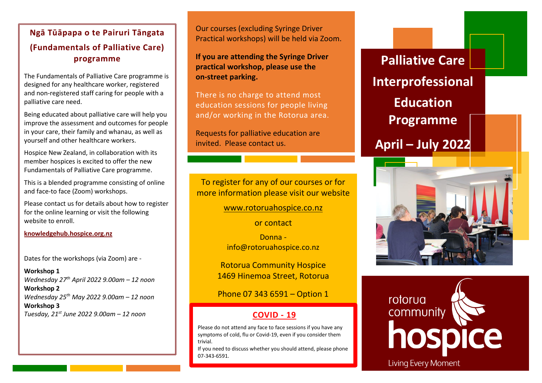#### **Hospice NZ Fundamentals of Ngā Tūāpapa o te Pairuri Tāngata Palliative Care Workshop Series This series of workshops is aimed at staff working within a programme (Fundamentals of Palliative Care)**

**DAY ONE:**  designed for any healthcare worker, registered **Tuesday 15 June 15 June 15 April 15 Continued C** and non-registered staff caring for people with a palliative care need. The Fundamentals of Palliative Care programme is

Being educated about palliative care will help you improve the assessment and outcomes for people in your care, their family and whanau, as well as yourself and other healthcare workers.

*·* Palliative Care for People with Dementia 1045 Hospice New Zealand, in collaboration with its Eundamen Fundamentals of Palliative Care programme. member hospices is excited to offer the new

This is a blended programme consisting of online and face-to face (Zoom) workshops.

*·* Introduction to Spiritual Care 1215 Please contact us for details about how to register for the online learning or visit the following website to enroll

**Printing of worker works in the work of works is a your own control works in the work of works is a your own control works in the work of works is a your own control works in the work of works in the works is a your own c You will need to bring your lunch with you [knowledgehub.hospice.org.nz](https://knowledgehub.hospice.org.nz/)**

Dates for the workshops (via Zoom) are -

**Workshop 1** *Wednesday 27th April 2022 9.00am – 12 noon* **Workshop 2** *Wednesday 25th May 2022 9.00am – 12 noon* **Workshop 3** *Tuesday, 21st June 2022 9.00am – 12 noon*

Our courses (excluding Syringe Driver Practical workshops) will be held via Zoom.

**If you are attending the Syringe Driver practical workshop, please use the on-street parking.**

There is no charge to attend most education sessions for people living and/or working in the Rotorua area.

Requests for palliative education are invited. Please contact us.

To register for any of our courses or for more information please visit our website

[www.rotoruahospice.co.nz](http://www.rotoruahospice.co.nz/)

or contact

Donna info@rotoruahospice.co.nz

Rotorua Community Hospice 1469 Hinemoa Street, Rotorua

Phone 07 343 6591 – Option 1

### **COVID - 19**

Please do not attend any face to face sessions if you have any symptoms of cold, flu or Covid-19, even if you consider them trivial.

If you need to discuss whether you should attend, please phone 07-343-6591.

**Palliative Care Interprofessional Education Programme April – July 2022**